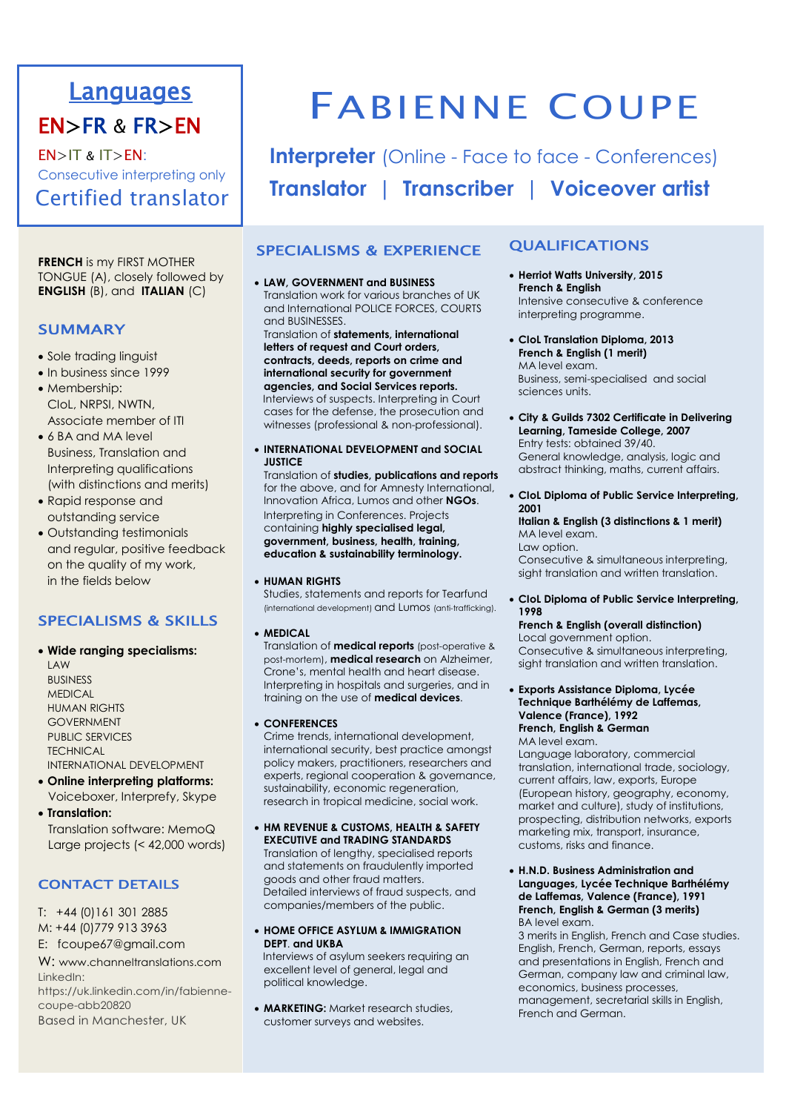# Languages

# EN>FR & FR>EN

EN>IT & IT>EN: Consecutive interpreting only Certified translator

**FRENCH** is my FIRST MOTHER TONGUE (A), closely followed by **ENGLISH** (B), and **ITALIAN** (C)

## **SUMMARY**

- Sole trading linguist
- In business since 1999 • Membership:
- CIoL, NRPSI, NWTN, Associate member of ITI
- 6 BA and MA level Business, Translation and Interpreting qualifications (with distinctions and merits)
- Rapid response and outstanding service
- Outstanding testimonials and regular, positive feedback on the quality of my work, in the fields below

# SPECIALISMS & SKILLS

- **Wide ranging specialisms:**
- LAW BUSINESS **MEDICAL** HUMAN RIGHTS GOVERNMENT PUBLIC SERVICES **TECHNICAL** INTERNATIONAL DEVELOPMENT
- **Online interpreting platforms:** Voiceboxer, Interprefy, Skype
- **Translation:** Translation software: MemoQ Large projects (< 42,000 words)

# CONTACT DETAILS

T: +44 (0)161 301 2885 M: +44 (0)779 913 3963 E: fcoupe67@gmail.com

W: www.channeltranslations.com LinkedIn: https://uk.linkedin.com/in/fabiennecoupe-abb20820

Based in Manchester, UK

# FABIENNE COUPE

**Interpreter** (Online - Face to face - Conferences) **Translator | Transcriber | Voiceover artist**

# SPECIALISMS & EXPERIENCE

#### • **LAW, GOVERNMENT and BUSINESS**

Translation work for various branches of UK and International POLICE FORCES, COURTS and BUSINESSES.

Translation of **statements, international letters of request and Court orders, contracts, deeds, reports on crime and international security for government agencies, and Social Services reports.** Interviews of suspects. Interpreting in Court cases for the defense, the prosecution and witnesses (professional & non-professional).

• **INTERNATIONAL DEVELOPMENT and SOCIAL JUSTICE**

Translation of **studies, publications and reports** for the above, and for Amnesty International, Innovation Africa, Lumos and other **NGOs**. Interpreting in Conferences. Projects containing **highly specialised legal, government, business, health, training, education & sustainability terminology.**

#### • **HUMAN RIGHTS**

Studies, statements and reports for Tearfund (international development) and Lumos (anti-trafficking).

• **MEDICAL**

Translation of **medical reports** (post-operative & post-mortem), **medical research** on Alzheimer, Crone's, mental health and heart disease. Interpreting in hospitals and surgeries, and in training on the use of **medical devices**.

#### • **CONFERENCES**

Crime trends, international development, international security, best practice amongst policy makers, practitioners, researchers and experts, regional cooperation & governance, sustainability, economic regeneration, research in tropical medicine, social work.

• **HM REVENUE & CUSTOMS, HEALTH & SAFETY EXECUTIVE and TRADING STANDARDS** Translation of lengthy, specialised reports and statements on fraudulently imported

goods and other fraud matters. Detailed interviews of fraud suspects, and companies/members of the public.

• **HOME OFFICE ASYLUM & IMMIGRATION DEPT**. **and UKBA**

 Interviews of asylum seekers requiring an excellent level of general, legal and political knowledge.

• **MARKETING:** Market research studies, customer surveys and websites.

# QUALIFICATIONS

- **Herriot Watts University, 2015 French & English** Intensive consecutive & conference interpreting programme.
- **CIoL Translation Diploma, 2013 French & English (1 merit)** MA level exam. Business, semi-specialised and social sciences units.
- **City & Guilds 7302 Certificate in Delivering Learning, Tameside College, 2007** Entry tests: obtained 39/40. General knowledge, analysis, logic and abstract thinking, maths, current affairs.
- **CIoL Diploma of Public Service Interpreting, 2001**

**Italian & English (3 distinctions & 1 merit)** MA level exam. Law option. Consecutive & simultaneous interpreting, sight translation and written translation.

• **CIoL Diploma of Public Service Interpreting, 1998** 

#### **French & English (overall distinction)** Local government option. Consecutive & simultaneous interpreting, sight translation and written translation.

• **Exports Assistance Diploma, Lycée Technique Barthélémy de Laffemas, Valence (France), 1992 French, English & German**

MA level exam. Language laboratory, commercial translation, international trade, sociology, current affairs, law, exports, Europe (European history, geography, economy, market and culture), study of institutions, prospecting, distribution networks, exports marketing mix, transport, insurance,

• **H.N.D. Business Administration and Languages, Lycée Technique Barthélémy de Laffemas, Valence (France), 1991 French, English & German (3 merits)** BA level exam.

customs, risks and finance.

3 merits in English, French and Case studies. English, French, German, reports, essays and presentations in English, French and German, company law and criminal law, economics, business processes, management, secretarial skills in English, French and German.